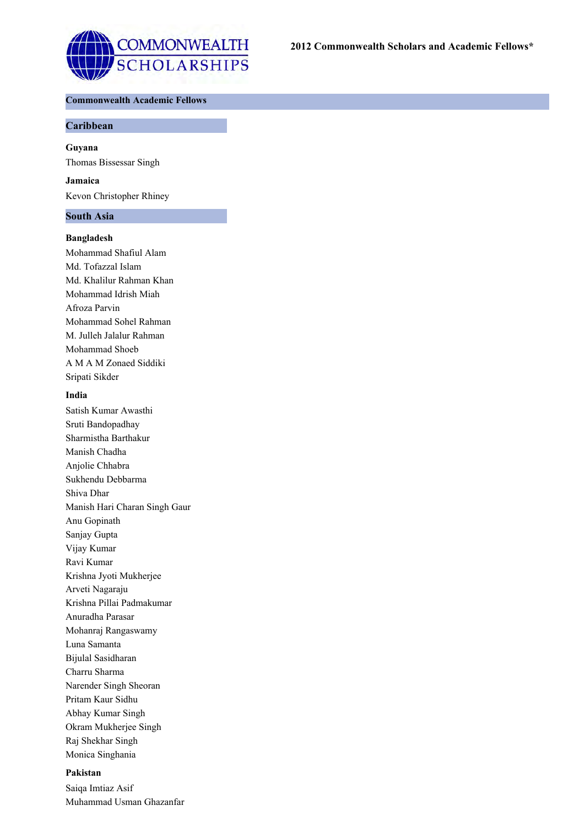

# **Commonwealth Academic Fellows**

## **Caribbean**

**Guyana**

Thomas Bissessar Singh

**Jamaica** Kevon Christopher Rhiney

#### **South Asia**

### **Bangladesh**

Mohammad Shafiul Alam Md. Tofazzal Islam Md. Khalilur Rahman Khan Mohammad Idrish Miah Afroza Parvin Mohammad Sohel Rahman M. Julleh Jalalur Rahman Mohammad Shoeb A M A M Zonaed Siddiki Sripati Sikder

### **India**

Satish Kumar Awasthi Sruti Bandopadhay Sharmistha Barthakur Manish Chadha Anjolie Chhabra Sukhendu Debbarma Shiva Dhar Manish Hari Charan Singh Gaur Anu Gopinath Sanjay Gupta Vijay Kumar Ravi Kumar Krishna Jyoti Mukherjee Arveti Nagaraju Krishna Pillai Padmakumar Anuradha Parasar Mohanraj Rangaswamy Luna Samanta Bijulal Sasidharan Charru Sharma Narender Singh Sheoran Pritam Kaur Sidhu Abhay Kumar Singh Okram Mukherjee Singh Raj Shekhar Singh Monica Singhania

## **Pakistan**

Saiqa Imtiaz Asif Muhammad Usman Ghazanfar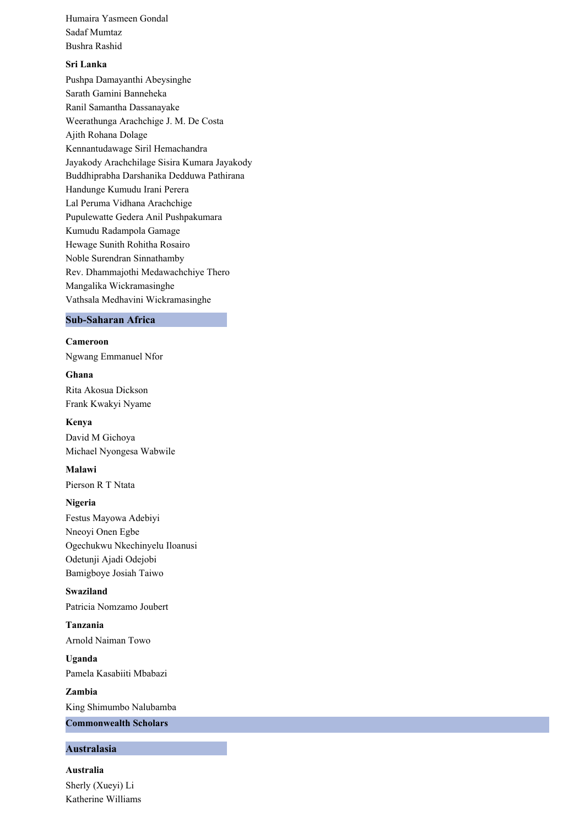Humaira Yasmeen Gondal Sadaf Mumtaz Bushra Rashid

# **Sri Lanka**

Pushpa Damayanthi Abeysinghe Sarath Gamini Banneheka Ranil Samantha Dassanayake Weerathunga Arachchige J. M. De Costa Ajith Rohana Dolage Kennantudawage Siril Hemachandra Jayakody Arachchilage Sisira Kumara Jayakody Buddhiprabha Darshanika Dedduwa Pathirana Handunge Kumudu Irani Perera Lal Peruma Vidhana Arachchige Pupulewatte Gedera Anil Pushpakumara Kumudu Radampola Gamage Hewage Sunith Rohitha Rosairo Noble Surendran Sinnathamby Rev. Dhammajothi Medawachchiye Thero Mangalika Wickramasinghe Vathsala Medhavini Wickramasinghe

### **Sub-Saharan Africa**

**Cameroon** Ngwang Emmanuel Nfor

**Ghana**

Rita Akosua Dickson Frank Kwakyi Nyame

### **Kenya**

David M Gichoya Michael Nyongesa Wabwile

**Malawi**

Pierson R T Ntata

## **Nigeria**

Festus Mayowa Adebiyi Nneoyi Onen Egbe Ogechukwu Nkechinyelu Iloanusi Odetunji Ajadi Odejobi Bamigboye Josiah Taiwo

**Swaziland** Patricia Nomzamo Joubert

**Tanzania** Arnold Naiman Towo

**Uganda** Pamela Kasabiiti Mbabazi

**Zambia** King Shimumbo Nalubamba **Commonwealth Scholars**

### **Australasia**

**Australia** Sherly (Xueyi) Li Katherine Williams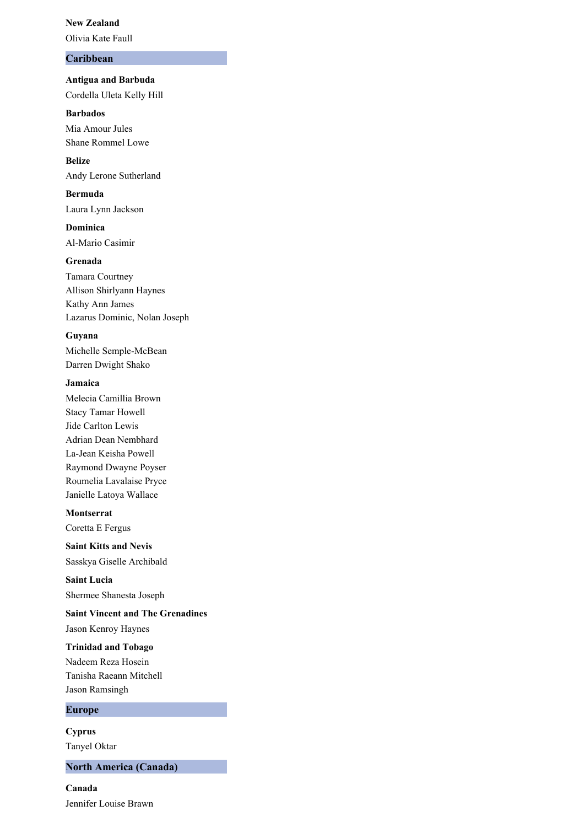#### **New Zealand**

Olivia Kate Faull

# **Caribbean**

**Antigua and Barbuda** Cordella Uleta Kelly Hill

# **Barbados**

Mia Amour Jules Shane Rommel Lowe

**Belize** Andy Lerone Sutherland

# **Bermuda**

Laura Lynn Jackson

**Dominica** Al-Mario Casimir

### **Grenada**

Tamara Courtney Allison Shirlyann Haynes Kathy Ann James Lazarus Dominic, Nolan Joseph

## **Guyana**

Michelle Semple-McBean Darren Dwight Shako

### **Jamaica**

Melecia Camillia Brown Stacy Tamar Howell Jide Carlton Lewis Adrian Dean Nembhard La-Jean Keisha Powell Raymond Dwayne Poyser Roumelia Lavalaise Pryce Janielle Latoya Wallace

### **Montserrat**

Coretta E Fergus

**Saint Kitts and Nevis** Sasskya Giselle Archibald

**Saint Lucia** Shermee Shanesta Joseph

# **Saint Vincent and The Grenadines**

Jason Kenroy Haynes

### **Trinidad and Tobago**

Nadeem Reza Hosein Tanisha Raeann Mitchell Jason Ramsingh

# **Europe**

**Cyprus** Tanyel Oktar

## **North America (Canada)**

**Canada** Jennifer Louise Brawn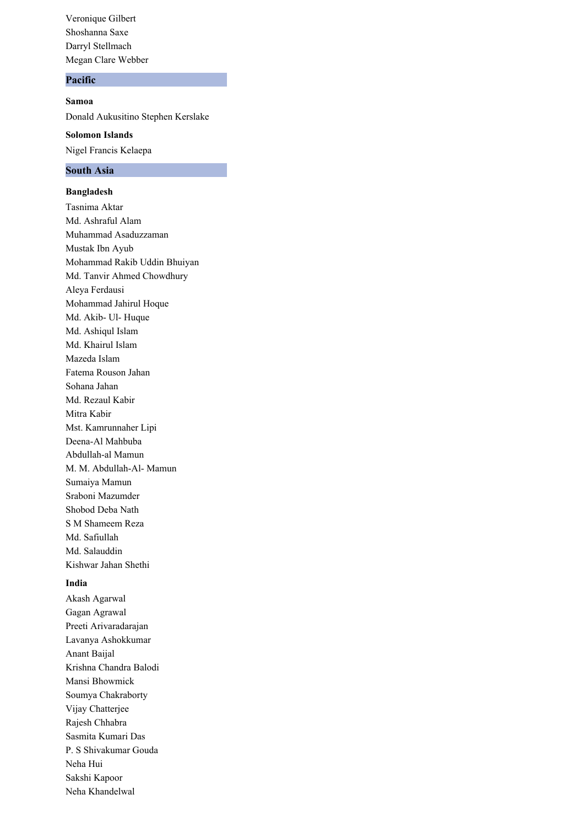Veronique Gilbert Shoshanna Saxe Darryl Stellmach Megan Clare Webber

# **Pacific**

**Samoa** Donald Aukusitino Stephen Kerslake **Solomon Islands**

Nigel Francis Kelaepa

### **South Asia**

**Bangladesh**

Tasnima Aktar Md. Ashraful Alam Muhammad Asaduzzaman Mustak Ibn Ayub Mohammad Rakib Uddin Bhuiyan Md. Tanvir Ahmed Chowdhury Aleya Ferdausi Mohammad Jahirul Hoque Md. Akib- Ul- Huque Md. Ashiqul Islam Md. Khairul Islam Mazeda Islam Fatema Rouson Jahan Sohana Jahan Md. Rezaul Kabir Mitra Kabir Mst. Kamrunnaher Lipi Deena-Al Mahbuba Abdullah-al Mamun M. M. Abdullah-Al- Mamun Sumaiya Mamun Sraboni Mazumder Shobod Deba Nath S M Shameem Reza Md. Safiullah Md. Salauddin Kishwar Jahan Shethi

# **India**

Akash Agarwal Gagan Agrawal Preeti Arivaradarajan Lavanya Ashokkumar Anant Baijal Krishna Chandra Balodi Mansi Bhowmick Soumya Chakraborty Vijay Chatterjee Rajesh Chhabra Sasmita Kumari Das P. S Shivakumar Gouda Neha Hui Sakshi Kapoor Neha Khandelwal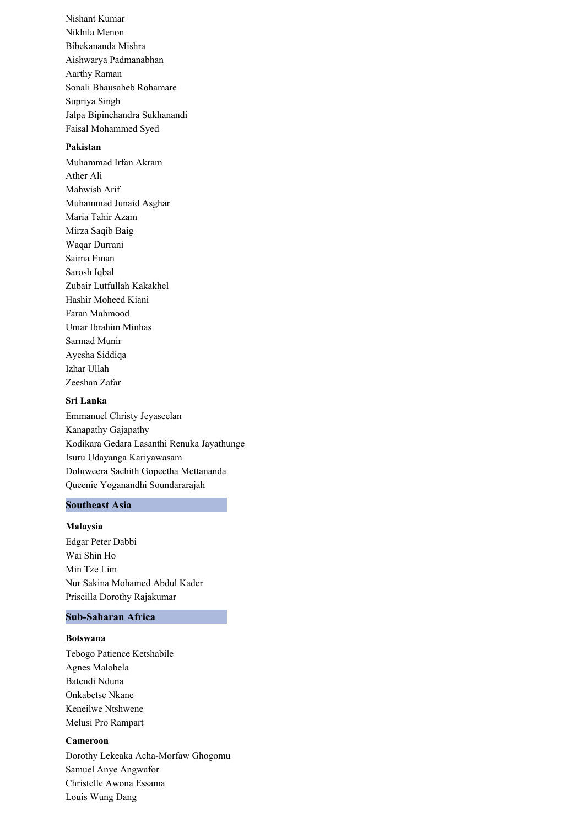Nishant Kumar Nikhila Menon Bibekananda Mishra Aishwarya Padmanabhan Aarthy Raman Sonali Bhausaheb Rohamare Supriya Singh Jalpa Bipinchandra Sukhanandi Faisal Mohammed Syed

## **Pakistan**

Muhammad Irfan Akram Ather Ali Mahwish Arif Muhammad Junaid Asghar Maria Tahir Azam Mirza Saqib Baig Waqar Durrani Saima Eman Sarosh Iqbal Zubair Lutfullah Kakakhel Hashir Moheed Kiani Faran Mahmood Umar Ibrahim Minhas Sarmad Munir Ayesha Siddiqa Izhar Ullah Zeeshan Zafar

### **Sri Lanka**

Emmanuel Christy Jeyaseelan Kanapathy Gajapathy Kodikara Gedara Lasanthi Renuka Jayathunge Isuru Udayanga Kariyawasam Doluweera Sachith Gopeetha Mettananda Queenie Yoganandhi Soundararajah

## **Southeast Asia**

#### **Malaysia**

Edgar Peter Dabbi Wai Shin Ho Min Tze Lim Nur Sakina Mohamed Abdul Kader Priscilla Dorothy Rajakumar

#### **Sub-Saharan Africa**

### **Botswana**

Tebogo Patience Ketshabile Agnes Malobela Batendi Nduna Onkabetse Nkane Keneilwe Ntshwene Melusi Pro Rampart

### **Cameroon**

Dorothy Lekeaka Acha-Morfaw Ghogomu Samuel Anye Angwafor Christelle Awona Essama Louis Wung Dang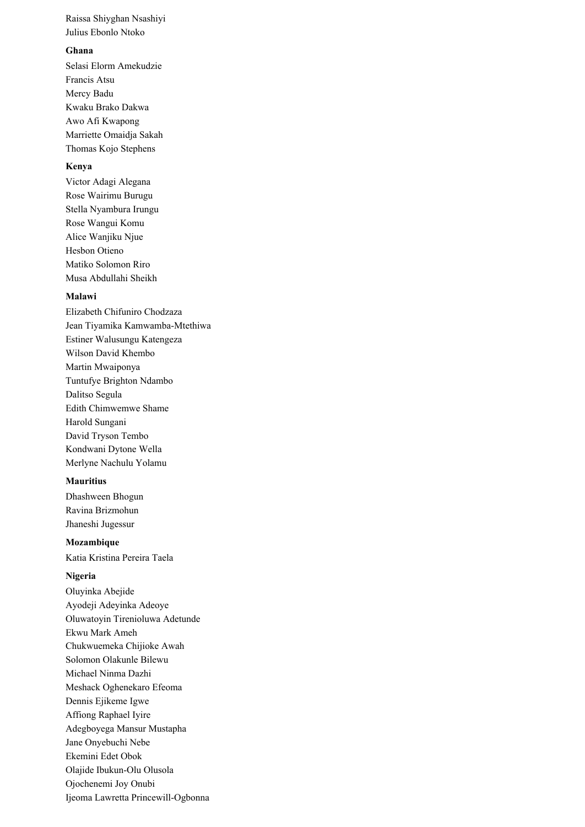Raissa Shiyghan Nsashiyi Julius Ebonlo Ntoko

## **Ghana**

Selasi Elorm Amekudzie Francis Atsu Mercy Badu Kwaku Brako Dakwa Awo Afi Kwapong Marriette Omaidja Sakah Thomas Kojo Stephens

# **Kenya**

Victor Adagi Alegana Rose Wairimu Burugu Stella Nyambura Irungu Rose Wangui Komu Alice Wanjiku Njue Hesbon Otieno Matiko Solomon Riro Musa Abdullahi Sheikh

### **Malawi**

Elizabeth Chifuniro Chodzaza Jean Tiyamika Kamwamba-Mtethiwa Estiner Walusungu Katengeza Wilson David Khembo Martin Mwaiponya Tuntufye Brighton Ndambo Dalitso Segula Edith Chimwemwe Shame Harold Sungani David Tryson Tembo Kondwani Dytone Wella Merlyne Nachulu Yolamu

### **Mauritius**

Dhashween Bhogun Ravina Brizmohun Jhaneshi Jugessur

**Mozambique** Katia Kristina Pereira Taela

#### **Nigeria**

Oluyinka Abejide Ayodeji Adeyinka Adeoye Oluwatoyin Tirenioluwa Adetunde Ekwu Mark Ameh Chukwuemeka Chijioke Awah Solomon Olakunle Bilewu Michael Ninma Dazhi Meshack Oghenekaro Efeoma Dennis Ejikeme Igwe Affiong Raphael Iyire Adegboyega Mansur Mustapha Jane Onyebuchi Nebe Ekemini Edet Obok Olajide Ibukun-Olu Olusola Ojochenemi Joy Onubi Ijeoma Lawretta Princewill-Ogbonna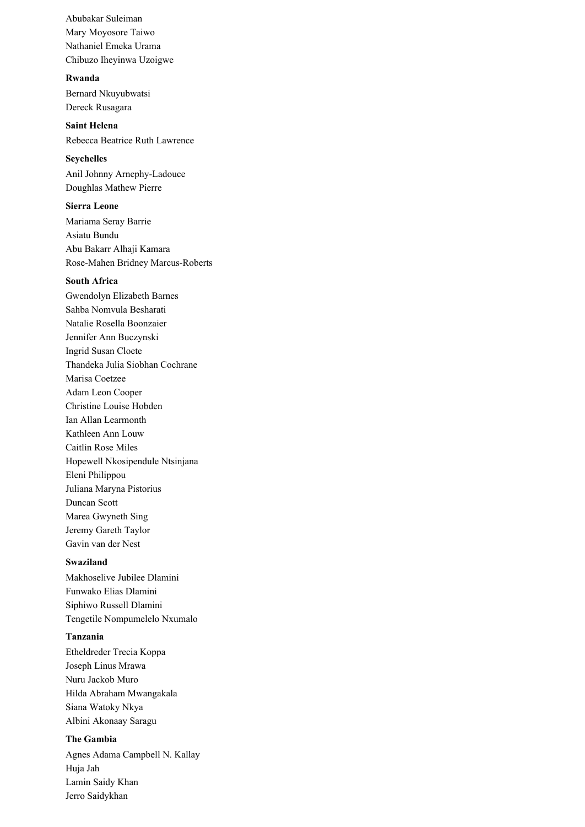Abubakar Suleiman Mary Moyosore Taiwo Nathaniel Emeka Urama Chibuzo Iheyinwa Uzoigwe

#### **Rwanda**

Bernard Nkuyubwatsi Dereck Rusagara

**Saint Helena** Rebecca Beatrice Ruth Lawrence

#### **Seychelles**

Anil Johnny Arnephy-Ladouce Doughlas Mathew Pierre

### **Sierra Leone**

Mariama Seray Barrie Asiatu Bundu Abu Bakarr Alhaji Kamara Rose-Mahen Bridney Marcus-Roberts

## **South Africa**

Gwendolyn Elizabeth Barnes Sahba Nomvula Besharati Natalie Rosella Boonzaier Jennifer Ann Buczynski Ingrid Susan Cloete Thandeka Julia Siobhan Cochrane Marisa Coetzee Adam Leon Cooper Christine Louise Hobden Ian Allan Learmonth Kathleen Ann Louw Caitlin Rose Miles Hopewell Nkosipendule Ntsinjana Eleni Philippou Juliana Maryna Pistorius Duncan Scott Marea Gwyneth Sing Jeremy Gareth Taylor Gavin van der Nest

## **Swaziland**

Makhoselive Jubilee Dlamini Funwako Elias Dlamini Siphiwo Russell Dlamini Tengetile Nompumelelo Nxumalo

### **Tanzania**

Etheldreder Trecia Koppa Joseph Linus Mrawa Nuru Jackob Muro Hilda Abraham Mwangakala Siana Watoky Nkya Albini Akonaay Saragu

# **The Gambia**

Agnes Adama Campbell N. Kallay Huja Jah Lamin Saidy Khan Jerro Saidykhan